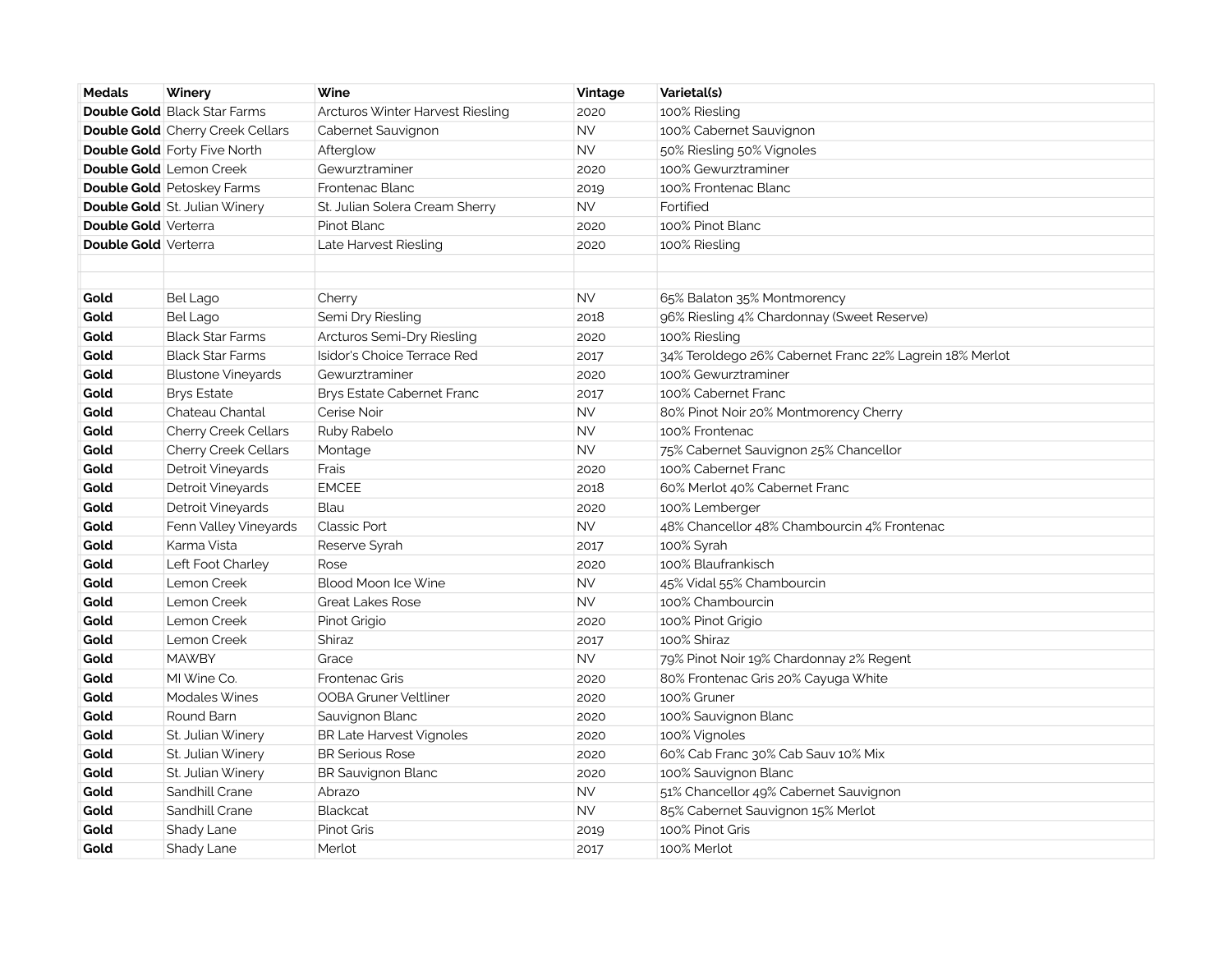| <b>Medals</b>               | Winery                                  | Wine                              | Vintage   | Varietal(s)                                             |
|-----------------------------|-----------------------------------------|-----------------------------------|-----------|---------------------------------------------------------|
|                             | <b>Double Gold Black Star Farms</b>     | Arcturos Winter Harvest Riesling  | 2020      | 100% Riesling                                           |
|                             | <b>Double Gold</b> Cherry Creek Cellars | Cabernet Sauvignon                | <b>NV</b> | 100% Cabernet Sauvignon                                 |
|                             | <b>Double Gold Forty Five North</b>     | Afterglow                         | <b>NV</b> | 50% Riesling 50% Vignoles                               |
|                             | Double Gold Lemon Creek                 | Gewurztraminer                    | 2020      | 100% Gewurztraminer                                     |
|                             | <b>Double Gold</b> Petoskey Farms       | Frontenac Blanc                   | 2019      | 100% Frontenac Blanc                                    |
|                             | <b>Double Gold</b> St. Julian Winery    | St. Julian Solera Cream Sherry    | <b>NV</b> | Fortified                                               |
| <b>Double Gold Verterra</b> |                                         | Pinot Blanc                       | 2020      | 100% Pinot Blanc                                        |
| <b>Double Gold Verterra</b> |                                         | Late Harvest Riesling             | 2020      | 100% Riesling                                           |
|                             |                                         |                                   |           |                                                         |
|                             |                                         |                                   |           |                                                         |
| Gold                        | Bel Lago                                | Cherry                            | <b>NV</b> | 65% Balaton 35% Montmorency                             |
| Gold                        | <b>Bel Lago</b>                         | Semi Dry Riesling                 | 2018      | 96% Riesling 4% Chardonnay (Sweet Reserve)              |
| Gold                        | <b>Black Star Farms</b>                 | Arcturos Semi-Dry Riesling        | 2020      | 100% Riesling                                           |
| Gold                        | <b>Black Star Farms</b>                 | Isidor's Choice Terrace Red       | 2017      | 34% Teroldego 26% Cabernet Franc 22% Lagrein 18% Merlot |
| Gold                        | <b>Blustone Vineyards</b>               | Gewurztraminer                    | 2020      | 100% Gewurztraminer                                     |
| Gold                        | <b>Brys Estate</b>                      | <b>Brys Estate Cabernet Franc</b> | 2017      | 100% Cabernet Franc                                     |
| Gold                        | Chateau Chantal                         | Cerise Noir                       | <b>NV</b> | 80% Pinot Noir 20% Montmorency Cherry                   |
| Gold                        | Cherry Creek Cellars                    | Ruby Rabelo                       | <b>NV</b> | 100% Frontenac                                          |
| Gold                        | Cherry Creek Cellars                    | Montage                           | <b>NV</b> | 75% Cabernet Sauvignon 25% Chancellor                   |
| Gold                        | Detroit Vineyards                       | Frais                             | 2020      | 100% Cabernet Franc                                     |
| Gold                        | Detroit Vineyards                       | <b>EMCEE</b>                      | 2018      | 60% Merlot 40% Cabernet Franc                           |
| Gold                        | Detroit Vineyards                       | Blau                              | 2020      | 100% Lemberger                                          |
| Gold                        | Fenn Valley Vineyards                   | <b>Classic Port</b>               | <b>NV</b> | 48% Chancellor 48% Chambourcin 4% Frontenac             |
| Gold                        | Karma Vista                             | Reserve Syrah                     | 2017      | 100% Syrah                                              |
| Gold                        | Left Foot Charley                       | Rose                              | 2020      | 100% Blaufrankisch                                      |
| Gold                        | Lemon Creek                             | <b>Blood Moon Ice Wine</b>        | <b>NV</b> | 45% Vidal 55% Chambourcin                               |
| Gold                        | Lemon Creek                             | <b>Great Lakes Rose</b>           | <b>NV</b> | 100% Chambourcin                                        |
| Gold                        | Lemon Creek                             | Pinot Grigio                      | 2020      | 100% Pinot Grigio                                       |
| Gold                        | Lemon Creek                             | Shiraz                            | 2017      | 100% Shiraz                                             |
| Gold                        | <b>MAWBY</b>                            | Grace                             | <b>NV</b> | 79% Pinot Noir 19% Chardonnay 2% Regent                 |
| Gold                        | MI Wine Co.                             | <b>Frontenac Gris</b>             | 2020      | 80% Frontenac Gris 20% Cayuga White                     |
| Gold                        | Modales Wines                           | <b>OOBA Gruner Veltliner</b>      | 2020      | 100% Gruner                                             |
| Gold                        | Round Barn                              | Sauvignon Blanc                   | 2020      | 100% Sauvignon Blanc                                    |
| Gold                        | St. Julian Winery                       | <b>BR Late Harvest Vignoles</b>   | 2020      | 100% Vignoles                                           |
| Gold                        | St. Julian Winery                       | <b>BR Serious Rose</b>            | 2020      | 60% Cab Franc 30% Cab Sauv 10% Mix                      |
| Gold                        | St. Julian Winery                       | <b>BR Sauvignon Blanc</b>         | 2020      | 100% Sauvignon Blanc                                    |
| Gold                        | Sandhill Crane                          | Abrazo                            | <b>NV</b> | 51% Chancellor 49% Cabernet Sauvignon                   |
| Gold                        | Sandhill Crane                          | <b>Blackcat</b>                   | <b>NV</b> | 85% Cabernet Sauvignon 15% Merlot                       |
| Gold                        | Shady Lane                              | Pinot Gris                        | 2019      | 100% Pinot Gris                                         |
| Gold                        | Shady Lane                              | Merlot                            | 2017      | 100% Merlot                                             |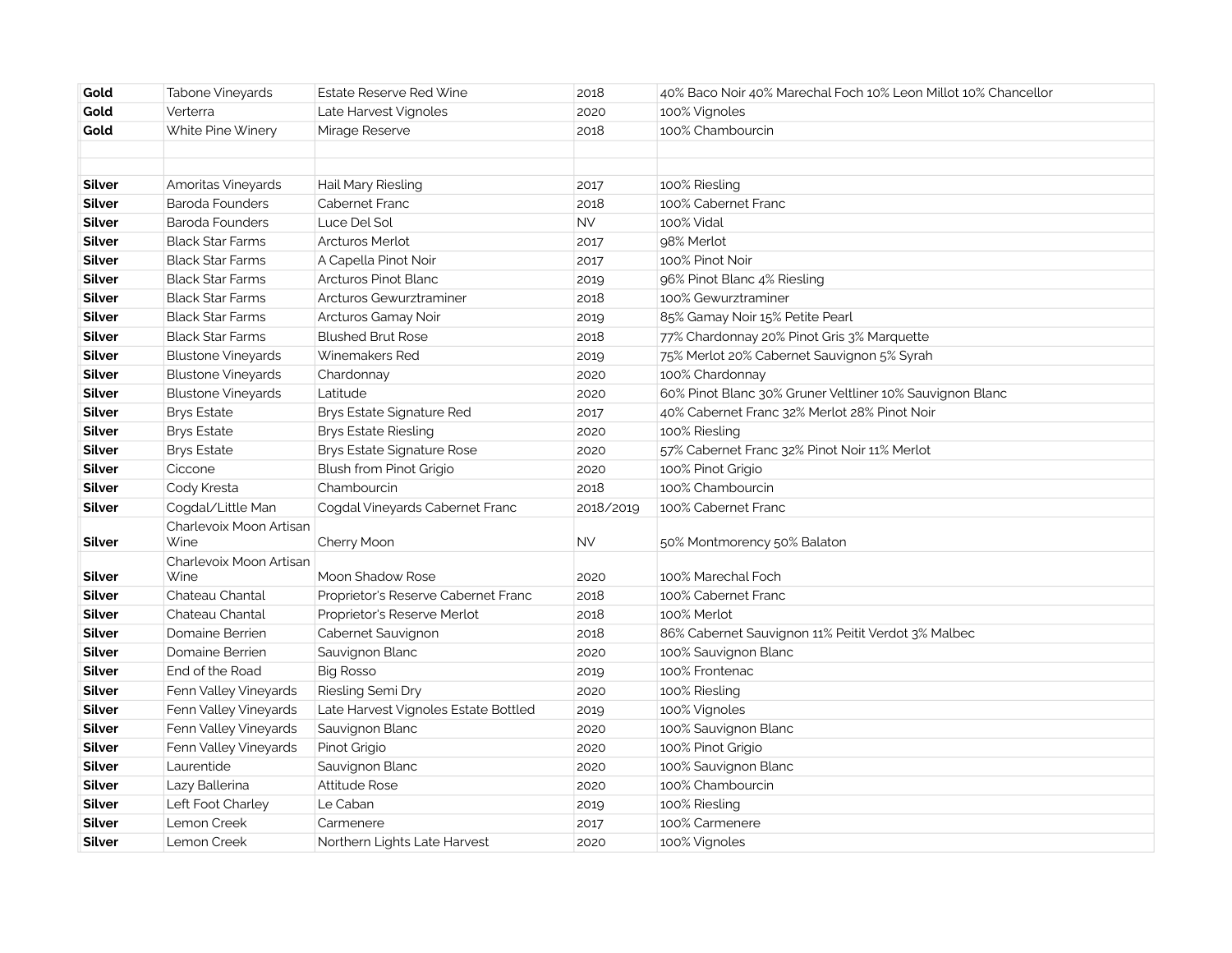| Gold   | Tabone Vineyards          | Estate Reserve Red Wine              | 2018      | 40% Baco Noir 40% Marechal Foch 10% Leon Millot 10% Chancellor |
|--------|---------------------------|--------------------------------------|-----------|----------------------------------------------------------------|
| Gold   | Verterra                  | Late Harvest Vignoles                | 2020      | 100% Vignoles                                                  |
| Gold   | White Pine Winery         | Mirage Reserve                       | 2018      | 100% Chambourcin                                               |
|        |                           |                                      |           |                                                                |
|        |                           |                                      |           |                                                                |
| Silver | Amoritas Vineyards        | Hail Mary Riesling                   | 2017      | 100% Riesling                                                  |
| Silver | <b>Baroda Founders</b>    | Cabernet Franc                       | 2018      | 100% Cabernet Franc                                            |
| Silver | <b>Baroda Founders</b>    | Luce Del Sol                         | <b>NV</b> | 100% Vidal                                                     |
| Silver | <b>Black Star Farms</b>   | <b>Arcturos Merlot</b>               | 2017      | 98% Merlot                                                     |
| Silver | <b>Black Star Farms</b>   | A Capella Pinot Noir                 | 2017      | 100% Pinot Noir                                                |
| Silver | <b>Black Star Farms</b>   | Arcturos Pinot Blanc                 | 2019      | 96% Pinot Blanc 4% Riesling                                    |
| Silver | <b>Black Star Farms</b>   | Arcturos Gewurztraminer              | 2018      | 100% Gewurztraminer                                            |
| Silver | <b>Black Star Farms</b>   | Arcturos Gamay Noir                  | 2019      | 85% Gamay Noir 15% Petite Pearl                                |
| Silver | <b>Black Star Farms</b>   | <b>Blushed Brut Rose</b>             | 2018      | 77% Chardonnay 20% Pinot Gris 3% Marquette                     |
| Silver | <b>Blustone Vineyards</b> | Winemakers Red                       | 2019      | 75% Merlot 20% Cabernet Sauvignon 5% Syrah                     |
| Silver | <b>Blustone Vineyards</b> | Chardonnay                           | 2020      | 100% Chardonnay                                                |
| Silver | <b>Blustone Vineyards</b> | Latitude                             | 2020      | 60% Pinot Blanc 30% Gruner Veltliner 10% Sauvignon Blanc       |
| Silver | <b>Brys Estate</b>        | Brys Estate Signature Red            | 2017      | 40% Cabernet Franc 32% Merlot 28% Pinot Noir                   |
| Silver | <b>Brys Estate</b>        | Brys Estate Riesling                 | 2020      | 100% Riesling                                                  |
| Silver | <b>Brys Estate</b>        | <b>Brys Estate Signature Rose</b>    | 2020      | 57% Cabernet Franc 32% Pinot Noir 11% Merlot                   |
| Silver | Ciccone                   | Blush from Pinot Grigio              | 2020      | 100% Pinot Grigio                                              |
| Silver | Cody Kresta               | Chambourcin                          | 2018      | 100% Chambourcin                                               |
| Silver | Cogdal/Little Man         | Cogdal Vineyards Cabernet Franc      | 2018/2019 | 100% Cabernet Franc                                            |
|        | Charlevoix Moon Artisan   |                                      |           |                                                                |
| Silver | Wine                      | Cherry Moon                          | <b>NV</b> | 50% Montmorency 50% Balaton                                    |
|        | Charlevoix Moon Artisan   |                                      |           |                                                                |
| Silver | Wine                      | Moon Shadow Rose                     | 2020      | 100% Marechal Foch                                             |
| Silver | Chateau Chantal           | Proprietor's Reserve Cabernet Franc  | 2018      | 100% Cabernet Franc                                            |
| Silver | Chateau Chantal           | Proprietor's Reserve Merlot          | 2018      | 100% Merlot                                                    |
| Silver | Domaine Berrien           | Cabernet Sauvignon                   | 2018      | 86% Cabernet Sauvignon 11% Peitit Verdot 3% Malbec             |
| Silver | Domaine Berrien           | Sauvignon Blanc                      | 2020      | 100% Sauvignon Blanc                                           |
| Silver | End of the Road           | <b>Big Rosso</b>                     | 2019      | 100% Frontenac                                                 |
| Silver | Fenn Valley Vineyards     | Riesling Semi Dry                    | 2020      | 100% Riesling                                                  |
| Silver | Fenn Valley Vineyards     | Late Harvest Vignoles Estate Bottled | 2019      | 100% Vignoles                                                  |
| Silver | Fenn Valley Vineyards     | Sauvignon Blanc                      | 2020      | 100% Sauvignon Blanc                                           |
| Silver | Fenn Valley Vineyards     | Pinot Grigio                         | 2020      | 100% Pinot Grigio                                              |
| Silver | Laurentide                | Sauvignon Blanc                      | 2020      | 100% Sauvignon Blanc                                           |
| Silver | Lazy Ballerina            | <b>Attitude Rose</b>                 | 2020      | 100% Chambourcin                                               |
| Silver | Left Foot Charley         | Le Caban                             | 2019      | 100% Riesling                                                  |
| Silver | Lemon Creek               | Carmenere                            | 2017      | 100% Carmenere                                                 |
| Silver | Lemon Creek               | Northern Lights Late Harvest         | 2020      | 100% Vignoles                                                  |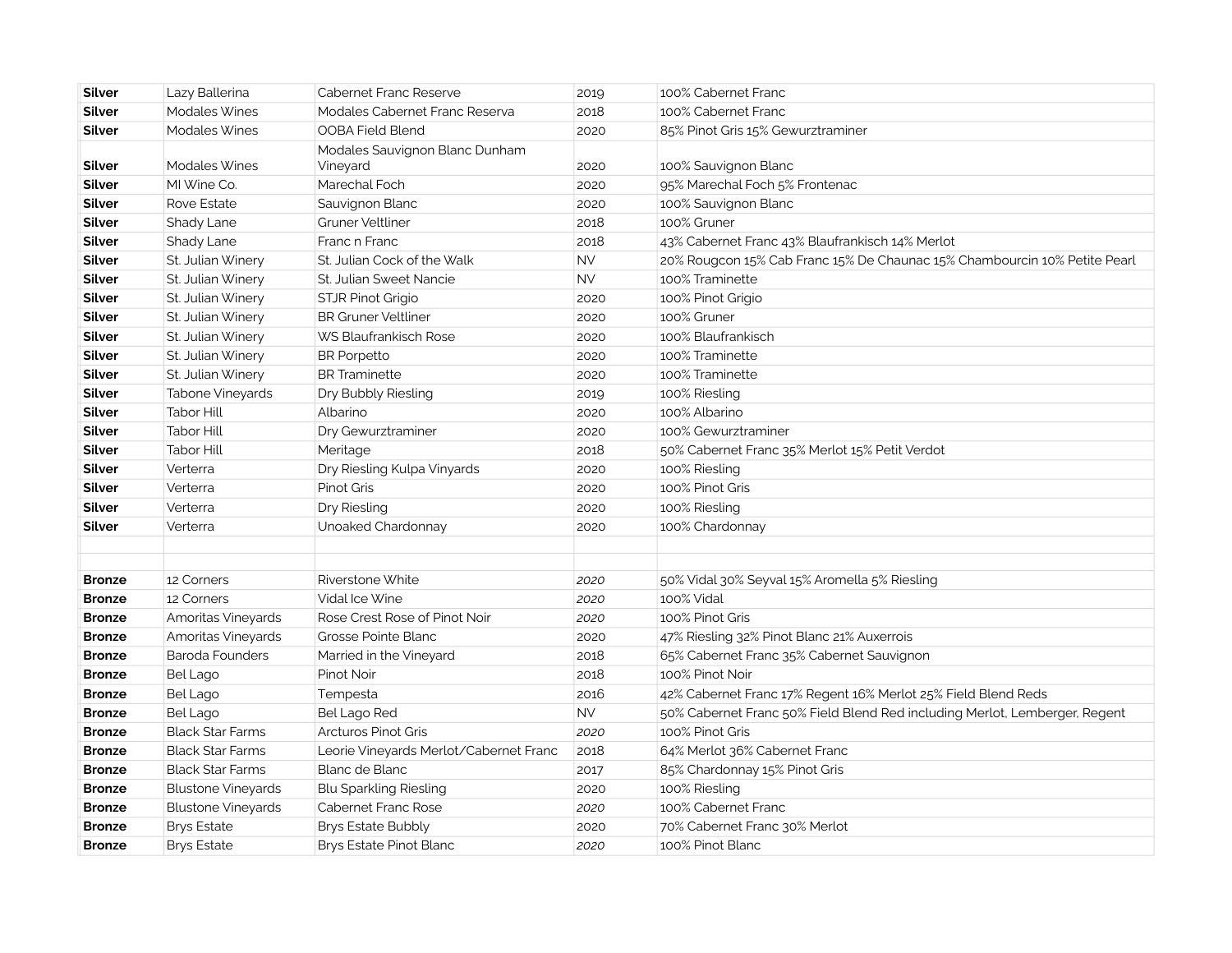| Silver        | Lazy Ballerina            | <b>Cabernet Franc Reserve</b>              | 2019      | 100% Cabernet Franc                                                        |
|---------------|---------------------------|--------------------------------------------|-----------|----------------------------------------------------------------------------|
| Silver        | <b>Modales Wines</b>      | Modales Cabernet Franc Reserva             | 2018      | 100% Cabernet Franc                                                        |
| Silver        | Modales Wines             | OOBA Field Blend                           | 2020      | 85% Pinot Gris 15% Gewurztraminer                                          |
| Silver        | <b>Modales Wines</b>      | Modales Sauvignon Blanc Dunham<br>Vineyard | 2020      | 100% Sauvignon Blanc                                                       |
| <b>Silver</b> | MI Wine Co.               | Marechal Foch                              | 2020      | 95% Marechal Foch 5% Frontenac                                             |
| Silver        | Rove Estate               | Sauvignon Blanc                            | 2020      | 100% Sauvignon Blanc                                                       |
| Silver        | Shady Lane                | Gruner Veltliner                           | 2018      | 100% Gruner                                                                |
| Silver        | Shady Lane                | Franc n Franc                              | 2018      | 43% Cabernet Franc 43% Blaufrankisch 14% Merlot                            |
| Silver        | St. Julian Winery         | St. Julian Cock of the Walk                | <b>NV</b> | 20% Rougcon 15% Cab Franc 15% De Chaunac 15% Chambourcin 10% Petite Pearl  |
| Silver        | St. Julian Winery         | St. Julian Sweet Nancie                    | <b>NV</b> | 100% Traminette                                                            |
| Silver        | St. Julian Winery         | STJR Pinot Grigio                          | 2020      | 100% Pinot Grigio                                                          |
| Silver        | St. Julian Winery         | <b>BR Gruner Veltliner</b>                 | 2020      | 100% Gruner                                                                |
| Silver        | St. Julian Winery         | WS Blaufrankisch Rose                      | 2020      | 100% Blaufrankisch                                                         |
| Silver        | St. Julian Winery         | <b>BR</b> Porpetto                         | 2020      | 100% Traminette                                                            |
| Silver        | St. Julian Winery         | <b>BR</b> Traminette                       | 2020      | 100% Traminette                                                            |
| Silver        | Tabone Vineyards          | Dry Bubbly Riesling                        | 2019      | 100% Riesling                                                              |
| Silver        | <b>Tabor Hill</b>         | Albarino                                   | 2020      | 100% Albarino                                                              |
| Silver        | <b>Tabor Hill</b>         | Dry Gewurztraminer                         | 2020      | 100% Gewurztraminer                                                        |
| Silver        | Tabor Hill                | Meritage                                   | 2018      | 50% Cabernet Franc 35% Merlot 15% Petit Verdot                             |
| Silver        | Verterra                  | Dry Riesling Kulpa Vinyards                | 2020      | 100% Riesling                                                              |
| Silver        | Verterra                  | Pinot Gris                                 | 2020      | 100% Pinot Gris                                                            |
| Silver        | Verterra                  | Dry Riesling                               | 2020      | 100% Riesling                                                              |
| Silver        | Verterra                  | Unoaked Chardonnay                         | 2020      | 100% Chardonnay                                                            |
|               |                           |                                            |           |                                                                            |
|               |                           |                                            |           |                                                                            |
| Bronze        | 12 Corners                | Riverstone White                           | 2020      | 50% Vidal 30% Seyval 15% Aromella 5% Riesling                              |
| <b>Bronze</b> | 12 Corners                | Vidal Ice Wine                             | 2020      | 100% Vidal                                                                 |
| Bronze        | Amoritas Vineyards        | Rose Crest Rose of Pinot Noir              | 2020      | 100% Pinot Gris                                                            |
| Bronze        | Amoritas Vineyards        | Grosse Pointe Blanc                        | 2020      | 47% Riesling 32% Pinot Blanc 21% Auxerrois                                 |
| <b>Bronze</b> | Baroda Founders           | Married in the Vineyard                    | 2018      | 65% Cabernet Franc 35% Cabernet Sauvignon                                  |
| <b>Bronze</b> | <b>Bel Lago</b>           | Pinot Noir                                 | 2018      | 100% Pinot Noir                                                            |
| <b>Bronze</b> | Bel Lago                  | Tempesta                                   | 2016      | 42% Cabernet Franc 17% Regent 16% Merlot 25% Field Blend Reds              |
| <b>Bronze</b> | Bel Lago                  | Bel Lago Red                               | <b>NV</b> | 50% Cabernet Franc 50% Field Blend Red including Merlot, Lemberger, Regent |
| Bronze        | <b>Black Star Farms</b>   | Arcturos Pinot Gris                        | 2020      | 100% Pinot Gris                                                            |
| Bronze        | <b>Black Star Farms</b>   | Leorie Vineyards Merlot/Cabernet Franc     | 2018      | 64% Merlot 36% Cabernet Franc                                              |
| Bronze        | <b>Black Star Farms</b>   | Blanc de Blanc                             | 2017      | 85% Chardonnay 15% Pinot Gris                                              |
| Bronze        | <b>Blustone Vineyards</b> | Blu Sparkling Riesling                     | 2020      | 100% Riesling                                                              |
| <b>Bronze</b> | <b>Blustone Vineyards</b> | Cabernet Franc Rose                        | 2020      | 100% Cabernet Franc                                                        |
| <b>Bronze</b> | <b>Brys Estate</b>        | <b>Brys Estate Bubbly</b>                  | 2020      | 70% Cabernet Franc 30% Merlot                                              |
| Bronze        | <b>Brys Estate</b>        | Brys Estate Pinot Blanc                    | 2020      | 100% Pinot Blanc                                                           |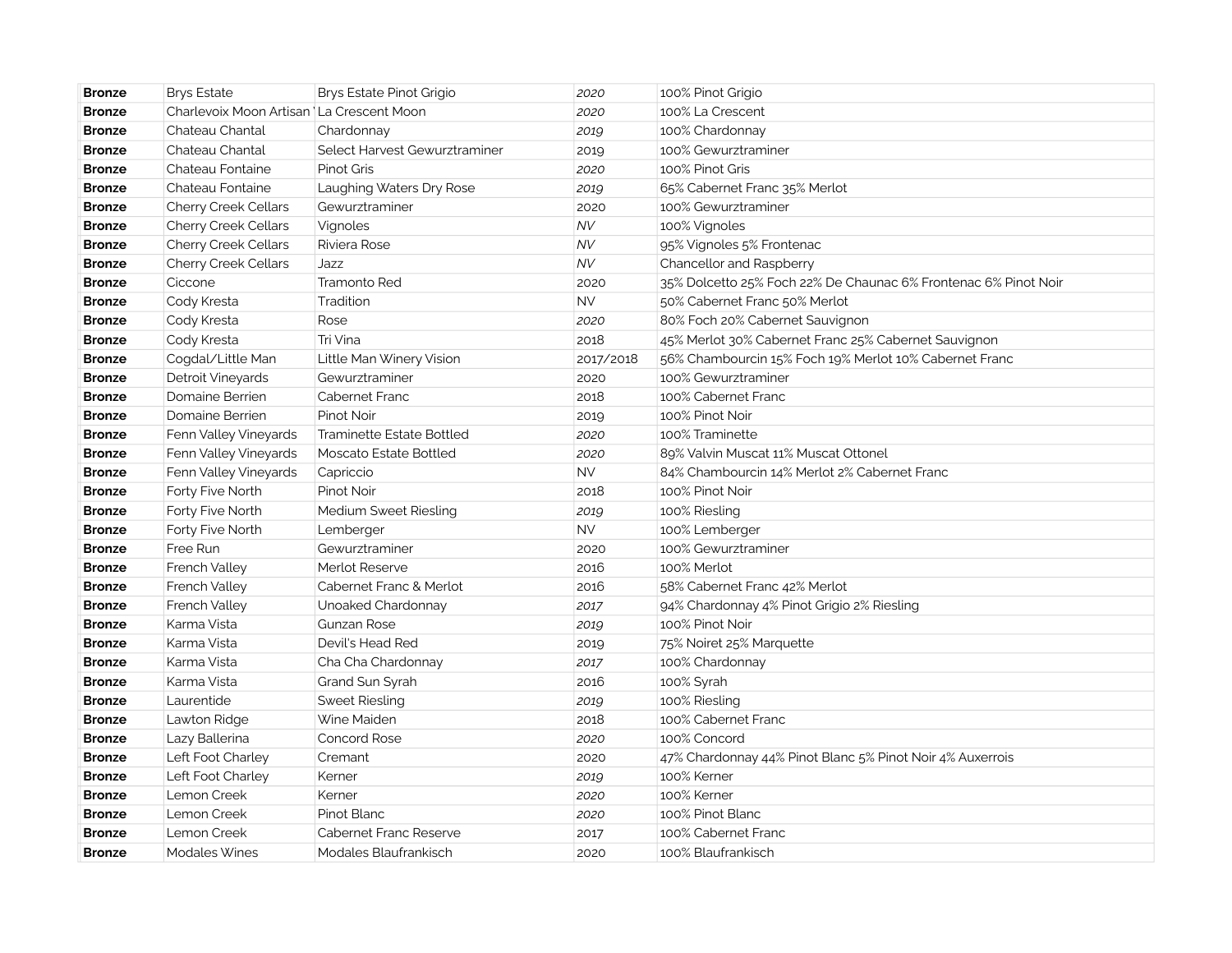| <b>Bronze</b> | <b>Brys Estate</b>                         | Brys Estate Pinot Grigio      | 2020      | 100% Pinot Grigio                                               |
|---------------|--------------------------------------------|-------------------------------|-----------|-----------------------------------------------------------------|
| <b>Bronze</b> | Charlevoix Moon Artisan   La Crescent Moon |                               | 2020      | 100% La Crescent                                                |
| <b>Bronze</b> | Chateau Chantal                            | Chardonnay                    | 2019      | 100% Chardonnay                                                 |
| <b>Bronze</b> | Chateau Chantal                            | Select Harvest Gewurztraminer | 2019      | 100% Gewurztraminer                                             |
| <b>Bronze</b> | Chateau Fontaine                           | <b>Pinot Gris</b>             | 2020      | 100% Pinot Gris                                                 |
| <b>Bronze</b> | Chateau Fontaine                           | Laughing Waters Dry Rose      | 2019      | 65% Cabernet Franc 35% Merlot                                   |
| <b>Bronze</b> | Cherry Creek Cellars                       | Gewurztraminer                | 2020      | 100% Gewurztraminer                                             |
| <b>Bronze</b> | <b>Cherry Creek Cellars</b>                | Vignoles                      | <b>NV</b> | 100% Vignoles                                                   |
| <b>Bronze</b> | Cherry Creek Cellars                       | Riviera Rose                  | NV        | 95% Vignoles 5% Frontenac                                       |
| <b>Bronze</b> | Cherry Creek Cellars                       | Jazz                          | <b>NV</b> | Chancellor and Raspberry                                        |
| <b>Bronze</b> | Ciccone                                    | <b>Tramonto Red</b>           | 2020      | 35% Dolcetto 25% Foch 22% De Chaunac 6% Frontenac 6% Pinot Noir |
| <b>Bronze</b> | Cody Kresta                                | Tradition                     | <b>NV</b> | 50% Cabernet Franc 50% Merlot                                   |
| <b>Bronze</b> | Cody Kresta                                | Rose                          | 2020      | 80% Foch 20% Cabernet Sauvignon                                 |
| <b>Bronze</b> | Cody Kresta                                | Tri Vina                      | 2018      | 45% Merlot 30% Cabernet Franc 25% Cabernet Sauvignon            |
| <b>Bronze</b> | Cogdal/Little Man                          | Little Man Winery Vision      | 2017/2018 | 56% Chambourcin 15% Foch 19% Merlot 10% Cabernet Franc          |
| <b>Bronze</b> | Detroit Vineyards                          | Gewurztraminer                | 2020      | 100% Gewurztraminer                                             |
| <b>Bronze</b> | Domaine Berrien                            | Cabernet Franc                | 2018      | 100% Cabernet Franc                                             |
| <b>Bronze</b> | Domaine Berrien                            | Pinot Noir                    | 2019      | 100% Pinot Noir                                                 |
| <b>Bronze</b> | Fenn Valley Vineyards                      | Traminette Estate Bottled     | 2020      | 100% Traminette                                                 |
| <b>Bronze</b> | Fenn Valley Vineyards                      | Moscato Estate Bottled        | 2020      | 89% Valvin Muscat 11% Muscat Ottonel                            |
| <b>Bronze</b> | Fenn Valley Vineyards                      | Capriccio                     | <b>NV</b> | 84% Chambourcin 14% Merlot 2% Cabernet Franc                    |
| <b>Bronze</b> | Forty Five North                           | Pinot Noir                    | 2018      | 100% Pinot Noir                                                 |
| <b>Bronze</b> | Forty Five North                           | Medium Sweet Riesling         | 2019      | 100% Riesling                                                   |
| <b>Bronze</b> | Forty Five North                           | Lemberger                     | <b>NV</b> | 100% Lemberger                                                  |
| <b>Bronze</b> | Free Run                                   | Gewurztraminer                | 2020      | 100% Gewurztraminer                                             |
| <b>Bronze</b> | French Valley                              | Merlot Reserve                | 2016      | 100% Merlot                                                     |
| <b>Bronze</b> | French Valley                              | Cabernet Franc & Merlot       | 2016      | 58% Cabernet Franc 42% Merlot                                   |
| <b>Bronze</b> | French Valley                              | Unoaked Chardonnay            | 2017      | 94% Chardonnay 4% Pinot Grigio 2% Riesling                      |
| <b>Bronze</b> | Karma Vista                                | <b>Gunzan Rose</b>            | 2019      | 100% Pinot Noir                                                 |
| <b>Bronze</b> | Karma Vista                                | Devil's Head Red              | 2019      | 75% Noiret 25% Marquette                                        |
| <b>Bronze</b> | Karma Vista                                | Cha Cha Chardonnay            | 2017      | 100% Chardonnay                                                 |
| <b>Bronze</b> | Karma Vista                                | Grand Sun Syrah               | 2016      | 100% Syrah                                                      |
| <b>Bronze</b> | Laurentide                                 | <b>Sweet Riesling</b>         | 2019      | 100% Riesling                                                   |
| <b>Bronze</b> | Lawton Ridge                               | Wine Maiden                   | 2018      | 100% Cabernet Franc                                             |
| <b>Bronze</b> | Lazy Ballerina                             | Concord Rose                  | 2020      | 100% Concord                                                    |
| <b>Bronze</b> | Left Foot Charley                          | Cremant                       | 2020      | 47% Chardonnay 44% Pinot Blanc 5% Pinot Noir 4% Auxerrois       |
| <b>Bronze</b> | Left Foot Charley                          | Kerner                        | 2019      | 100% Kerner                                                     |
| <b>Bronze</b> | Lemon Creek                                | Kerner                        | 2020      | 100% Kerner                                                     |
| <b>Bronze</b> | Lemon Creek                                | Pinot Blanc                   | 2020      | 100% Pinot Blanc                                                |
| <b>Bronze</b> | Lemon Creek                                | <b>Cabernet Franc Reserve</b> | 2017      | 100% Cabernet Franc                                             |
| <b>Bronze</b> | <b>Modales Wines</b>                       | Modales Blaufrankisch         | 2020      | 100% Blaufrankisch                                              |